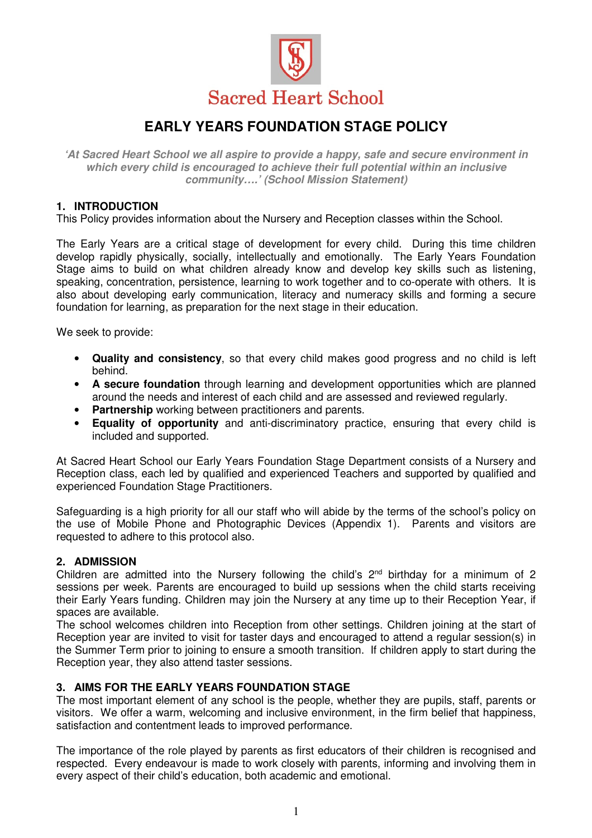

# **EARLY YEARS FOUNDATION STAGE POLICY**

**'At Sacred Heart School we all aspire to provide a happy, safe and secure environment in which every child is encouraged to achieve their full potential within an inclusive community….' (School Mission Statement)** 

## **1. INTRODUCTION**

This Policy provides information about the Nursery and Reception classes within the School.

The Early Years are a critical stage of development for every child. During this time children develop rapidly physically, socially, intellectually and emotionally. The Early Years Foundation Stage aims to build on what children already know and develop key skills such as listening, speaking, concentration, persistence, learning to work together and to co-operate with others. It is also about developing early communication, literacy and numeracy skills and forming a secure foundation for learning, as preparation for the next stage in their education.

We seek to provide:

- **Quality and consistency**, so that every child makes good progress and no child is left behind.
- **A secure foundation** through learning and development opportunities which are planned around the needs and interest of each child and are assessed and reviewed regularly.
- **Partnership** working between practitioners and parents.
- **Equality of opportunity** and anti-discriminatory practice, ensuring that every child is included and supported.

At Sacred Heart School our Early Years Foundation Stage Department consists of a Nursery and Reception class, each led by qualified and experienced Teachers and supported by qualified and experienced Foundation Stage Practitioners.

Safeguarding is a high priority for all our staff who will abide by the terms of the school's policy on the use of Mobile Phone and Photographic Devices (Appendix 1). Parents and visitors are requested to adhere to this protocol also.

## **2. ADMISSION**

Children are admitted into the Nursery following the child's  $2<sup>nd</sup>$  birthday for a minimum of 2 sessions per week. Parents are encouraged to build up sessions when the child starts receiving their Early Years funding. Children may join the Nursery at any time up to their Reception Year, if spaces are available.

The school welcomes children into Reception from other settings. Children joining at the start of Reception year are invited to visit for taster days and encouraged to attend a regular session(s) in the Summer Term prior to joining to ensure a smooth transition. If children apply to start during the Reception year, they also attend taster sessions.

## **3. AIMS FOR THE EARLY YEARS FOUNDATION STAGE**

The most important element of any school is the people, whether they are pupils, staff, parents or visitors. We offer a warm, welcoming and inclusive environment, in the firm belief that happiness, satisfaction and contentment leads to improved performance.

The importance of the role played by parents as first educators of their children is recognised and respected. Every endeavour is made to work closely with parents, informing and involving them in every aspect of their child's education, both academic and emotional.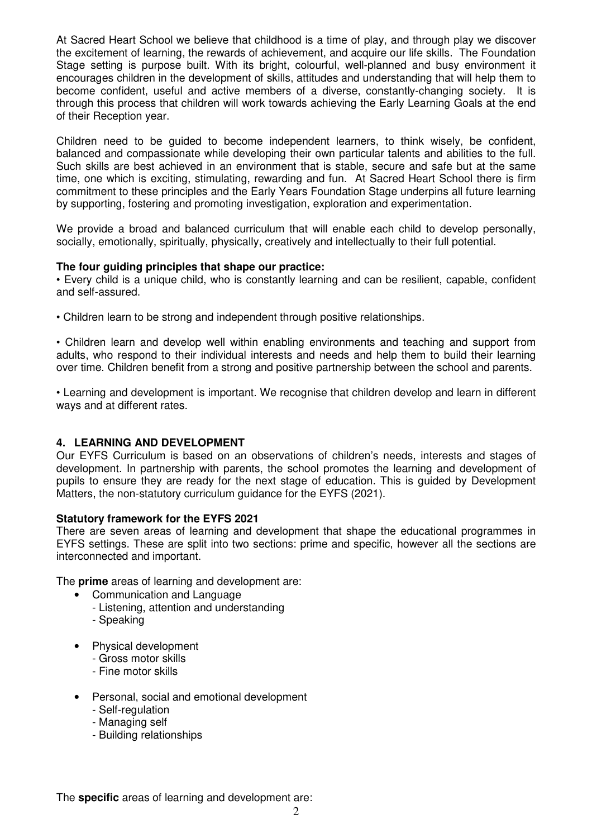At Sacred Heart School we believe that childhood is a time of play, and through play we discover the excitement of learning, the rewards of achievement, and acquire our life skills. The Foundation Stage setting is purpose built. With its bright, colourful, well-planned and busy environment it encourages children in the development of skills, attitudes and understanding that will help them to become confident, useful and active members of a diverse, constantly-changing society. It is through this process that children will work towards achieving the Early Learning Goals at the end of their Reception year.

Children need to be guided to become independent learners, to think wisely, be confident, balanced and compassionate while developing their own particular talents and abilities to the full. Such skills are best achieved in an environment that is stable, secure and safe but at the same time, one which is exciting, stimulating, rewarding and fun. At Sacred Heart School there is firm commitment to these principles and the Early Years Foundation Stage underpins all future learning by supporting, fostering and promoting investigation, exploration and experimentation.

We provide a broad and balanced curriculum that will enable each child to develop personally, socially, emotionally, spiritually, physically, creatively and intellectually to their full potential.

#### **The four guiding principles that shape our practice:**

• Every child is a unique child, who is constantly learning and can be resilient, capable, confident and self-assured.

• Children learn to be strong and independent through positive relationships.

• Children learn and develop well within enabling environments and teaching and support from adults, who respond to their individual interests and needs and help them to build their learning over time. Children benefit from a strong and positive partnership between the school and parents.

• Learning and development is important. We recognise that children develop and learn in different ways and at different rates.

## **4. LEARNING AND DEVELOPMENT**

Our EYFS Curriculum is based on an observations of children's needs, interests and stages of development. In partnership with parents, the school promotes the learning and development of pupils to ensure they are ready for the next stage of education. This is guided by Development Matters, the non-statutory curriculum guidance for the EYFS (2021).

## **Statutory framework for the EYFS 2021**

There are seven areas of learning and development that shape the educational programmes in EYFS settings. These are split into two sections: prime and specific, however all the sections are interconnected and important.

The **prime** areas of learning and development are:

- Communication and Language
- Listening, attention and understanding
- Speaking
- Physical development
	- Gross motor skills
	- Fine motor skills
- Personal, social and emotional development
	- Self-regulation
	- Managing self
	- Building relationships

The **specific** areas of learning and development are: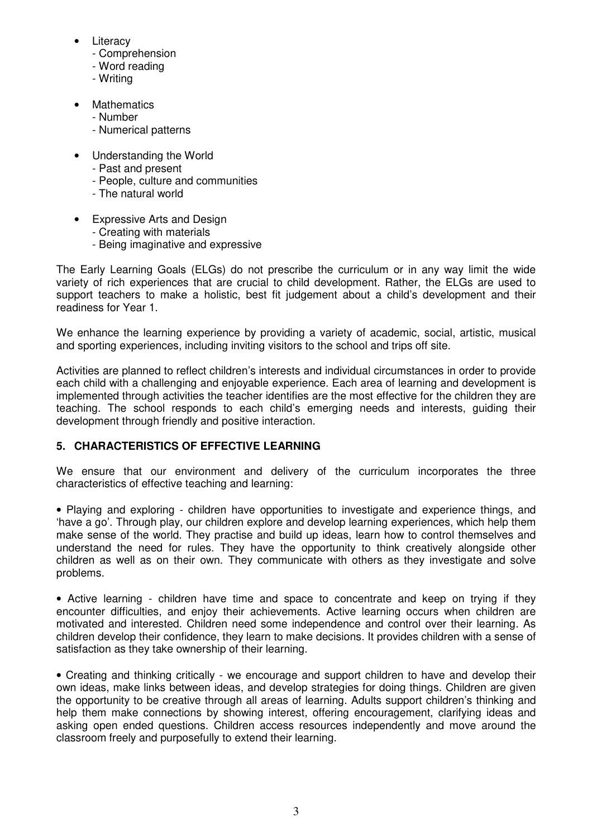- Literacy
	- Comprehension
	- Word reading
	- Writing
- Mathematics
	- Number
	- Numerical patterns
- Understanding the World
	- Past and present
	- People, culture and communities
	- The natural world
- Expressive Arts and Design
	- Creating with materials
	- Being imaginative and expressive

The Early Learning Goals (ELGs) do not prescribe the curriculum or in any way limit the wide variety of rich experiences that are crucial to child development. Rather, the ELGs are used to support teachers to make a holistic, best fit judgement about a child's development and their readiness for Year 1.

We enhance the learning experience by providing a variety of academic, social, artistic, musical and sporting experiences, including inviting visitors to the school and trips off site.

Activities are planned to reflect children's interests and individual circumstances in order to provide each child with a challenging and enjoyable experience. Each area of learning and development is implemented through activities the teacher identifies are the most effective for the children they are teaching. The school responds to each child's emerging needs and interests, guiding their development through friendly and positive interaction.

## **5. CHARACTERISTICS OF EFFECTIVE LEARNING**

We ensure that our environment and delivery of the curriculum incorporates the three characteristics of effective teaching and learning:

• Playing and exploring - children have opportunities to investigate and experience things, and 'have a go'. Through play, our children explore and develop learning experiences, which help them make sense of the world. They practise and build up ideas, learn how to control themselves and understand the need for rules. They have the opportunity to think creatively alongside other children as well as on their own. They communicate with others as they investigate and solve problems.

• Active learning - children have time and space to concentrate and keep on trying if they encounter difficulties, and enjoy their achievements. Active learning occurs when children are motivated and interested. Children need some independence and control over their learning. As children develop their confidence, they learn to make decisions. It provides children with a sense of satisfaction as they take ownership of their learning.

• Creating and thinking critically - we encourage and support children to have and develop their own ideas, make links between ideas, and develop strategies for doing things. Children are given the opportunity to be creative through all areas of learning. Adults support children's thinking and help them make connections by showing interest, offering encouragement, clarifying ideas and asking open ended questions. Children access resources independently and move around the classroom freely and purposefully to extend their learning.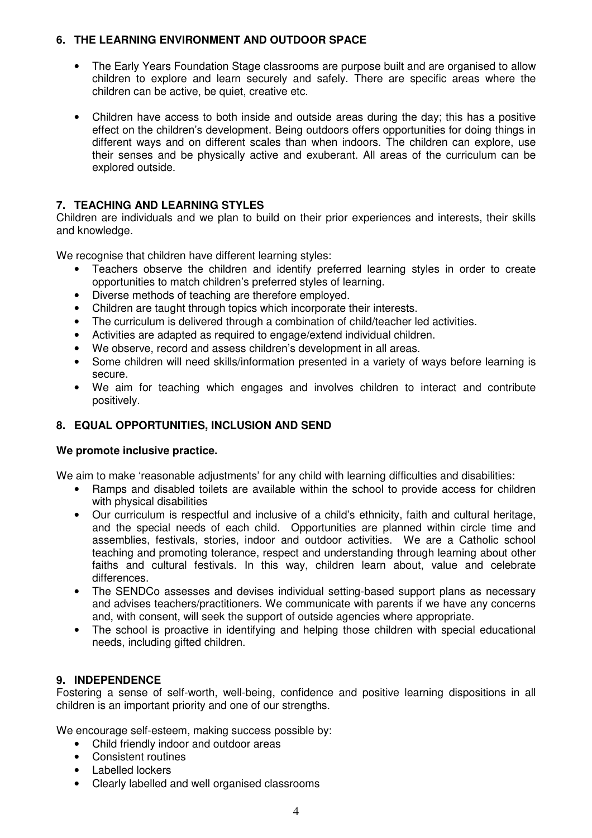## **6. THE LEARNING ENVIRONMENT AND OUTDOOR SPACE**

- The Early Years Foundation Stage classrooms are purpose built and are organised to allow children to explore and learn securely and safely. There are specific areas where the children can be active, be quiet, creative etc.
- Children have access to both inside and outside areas during the day; this has a positive effect on the children's development. Being outdoors offers opportunities for doing things in different ways and on different scales than when indoors. The children can explore, use their senses and be physically active and exuberant. All areas of the curriculum can be explored outside.

## **7. TEACHING AND LEARNING STYLES**

Children are individuals and we plan to build on their prior experiences and interests, their skills and knowledge.

We recognise that children have different learning styles:

- Teachers observe the children and identify preferred learning styles in order to create opportunities to match children's preferred styles of learning.
- Diverse methods of teaching are therefore employed.
- Children are taught through topics which incorporate their interests.
- The curriculum is delivered through a combination of child/teacher led activities.
- Activities are adapted as required to engage/extend individual children.
- We observe, record and assess children's development in all areas.
- Some children will need skills/information presented in a variety of ways before learning is secure.
- We aim for teaching which engages and involves children to interact and contribute positively.

## **8. EQUAL OPPORTUNITIES, INCLUSION AND SEND**

## **We promote inclusive practice.**

We aim to make 'reasonable adjustments' for any child with learning difficulties and disabilities:

- Ramps and disabled toilets are available within the school to provide access for children with physical disabilities
- Our curriculum is respectful and inclusive of a child's ethnicity, faith and cultural heritage, and the special needs of each child. Opportunities are planned within circle time and assemblies, festivals, stories, indoor and outdoor activities. We are a Catholic school teaching and promoting tolerance, respect and understanding through learning about other faiths and cultural festivals. In this way, children learn about, value and celebrate differences.
- The SENDCo assesses and devises individual setting-based support plans as necessary and advises teachers/practitioners. We communicate with parents if we have any concerns and, with consent, will seek the support of outside agencies where appropriate.
- The school is proactive in identifying and helping those children with special educational needs, including gifted children.

## **9. INDEPENDENCE**

Fostering a sense of self-worth, well-being, confidence and positive learning dispositions in all children is an important priority and one of our strengths.

We encourage self-esteem, making success possible by:

- Child friendly indoor and outdoor areas
- Consistent routines
- Labelled lockers
- Clearly labelled and well organised classrooms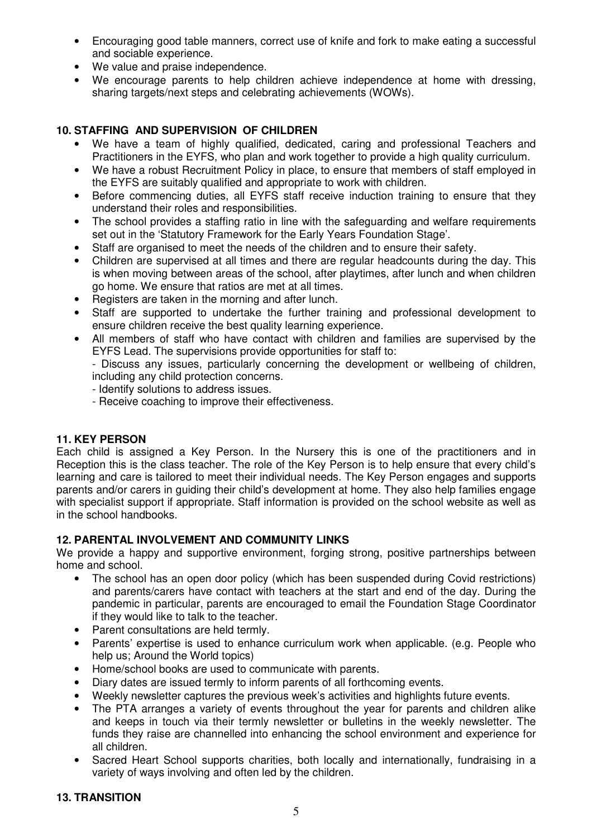- Encouraging good table manners, correct use of knife and fork to make eating a successful and sociable experience.
- We value and praise independence.
- We encourage parents to help children achieve independence at home with dressing, sharing targets/next steps and celebrating achievements (WOWs).

## **10. STAFFING AND SUPERVISION OF CHILDREN**

- We have a team of highly qualified, dedicated, caring and professional Teachers and Practitioners in the EYFS, who plan and work together to provide a high quality curriculum.
- We have a robust Recruitment Policy in place, to ensure that members of staff employed in the EYFS are suitably qualified and appropriate to work with children.
- Before commencing duties, all EYFS staff receive induction training to ensure that they understand their roles and responsibilities.
- The school provides a staffing ratio in line with the safeguarding and welfare requirements set out in the 'Statutory Framework for the Early Years Foundation Stage'.
- Staff are organised to meet the needs of the children and to ensure their safety.
- Children are supervised at all times and there are regular headcounts during the day. This is when moving between areas of the school, after playtimes, after lunch and when children go home. We ensure that ratios are met at all times.
- Registers are taken in the morning and after lunch.
- Staff are supported to undertake the further training and professional development to ensure children receive the best quality learning experience.
- All members of staff who have contact with children and families are supervised by the EYFS Lead. The supervisions provide opportunities for staff to:
	- Discuss any issues, particularly concerning the development or wellbeing of children, including any child protection concerns.
	- Identify solutions to address issues.
	- Receive coaching to improve their effectiveness.

## **11. KEY PERSON**

Each child is assigned a Key Person. In the Nursery this is one of the practitioners and in Reception this is the class teacher. The role of the Key Person is to help ensure that every child's learning and care is tailored to meet their individual needs. The Key Person engages and supports parents and/or carers in guiding their child's development at home. They also help families engage with specialist support if appropriate. Staff information is provided on the school website as well as in the school handbooks.

## **12. PARENTAL INVOLVEMENT AND COMMUNITY LINKS**

We provide a happy and supportive environment, forging strong, positive partnerships between home and school.

- The school has an open door policy (which has been suspended during Covid restrictions) and parents/carers have contact with teachers at the start and end of the day. During the pandemic in particular, parents are encouraged to email the Foundation Stage Coordinator if they would like to talk to the teacher.
- Parent consultations are held termly.
- Parents' expertise is used to enhance curriculum work when applicable. (e.g. People who help us; Around the World topics)
- Home/school books are used to communicate with parents.
- Diary dates are issued termly to inform parents of all forthcoming events.
- Weekly newsletter captures the previous week's activities and highlights future events.
- The PTA arranges a variety of events throughout the year for parents and children alike and keeps in touch via their termly newsletter or bulletins in the weekly newsletter. The funds they raise are channelled into enhancing the school environment and experience for all children.
- Sacred Heart School supports charities, both locally and internationally, fundraising in a variety of ways involving and often led by the children.

## **13. TRANSITION**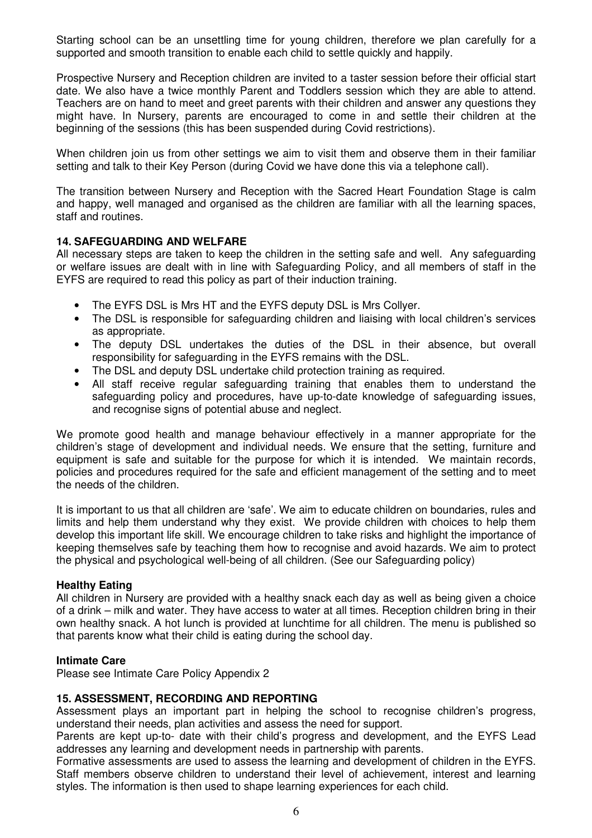Starting school can be an unsettling time for young children, therefore we plan carefully for a supported and smooth transition to enable each child to settle quickly and happily.

Prospective Nursery and Reception children are invited to a taster session before their official start date. We also have a twice monthly Parent and Toddlers session which they are able to attend. Teachers are on hand to meet and greet parents with their children and answer any questions they might have. In Nursery, parents are encouraged to come in and settle their children at the beginning of the sessions (this has been suspended during Covid restrictions).

When children join us from other settings we aim to visit them and observe them in their familiar setting and talk to their Key Person (during Covid we have done this via a telephone call).

The transition between Nursery and Reception with the Sacred Heart Foundation Stage is calm and happy, well managed and organised as the children are familiar with all the learning spaces, staff and routines.

## **14. SAFEGUARDING AND WELFARE**

All necessary steps are taken to keep the children in the setting safe and well. Any safeguarding or welfare issues are dealt with in line with Safeguarding Policy, and all members of staff in the EYFS are required to read this policy as part of their induction training.

- The EYFS DSL is Mrs HT and the EYFS deputy DSL is Mrs Collyer.
- The DSL is responsible for safeguarding children and liaising with local children's services as appropriate.
- The deputy DSL undertakes the duties of the DSL in their absence, but overall responsibility for safeguarding in the EYFS remains with the DSL.
- The DSL and deputy DSL undertake child protection training as required.
- All staff receive regular safeguarding training that enables them to understand the safeguarding policy and procedures, have up-to-date knowledge of safeguarding issues, and recognise signs of potential abuse and neglect.

We promote good health and manage behaviour effectively in a manner appropriate for the children's stage of development and individual needs. We ensure that the setting, furniture and equipment is safe and suitable for the purpose for which it is intended. We maintain records, policies and procedures required for the safe and efficient management of the setting and to meet the needs of the children.

It is important to us that all children are 'safe'. We aim to educate children on boundaries, rules and limits and help them understand why they exist. We provide children with choices to help them develop this important life skill. We encourage children to take risks and highlight the importance of keeping themselves safe by teaching them how to recognise and avoid hazards. We aim to protect the physical and psychological well-being of all children. (See our Safeguarding policy)

#### **Healthy Eating**

All children in Nursery are provided with a healthy snack each day as well as being given a choice of a drink – milk and water. They have access to water at all times. Reception children bring in their own healthy snack. A hot lunch is provided at lunchtime for all children. The menu is published so that parents know what their child is eating during the school day.

#### **Intimate Care**

Please see Intimate Care Policy Appendix 2

## **15. ASSESSMENT, RECORDING AND REPORTING**

Assessment plays an important part in helping the school to recognise children's progress, understand their needs, plan activities and assess the need for support.

Parents are kept up-to- date with their child's progress and development, and the EYFS Lead addresses any learning and development needs in partnership with parents.

Formative assessments are used to assess the learning and development of children in the EYFS. Staff members observe children to understand their level of achievement, interest and learning styles. The information is then used to shape learning experiences for each child.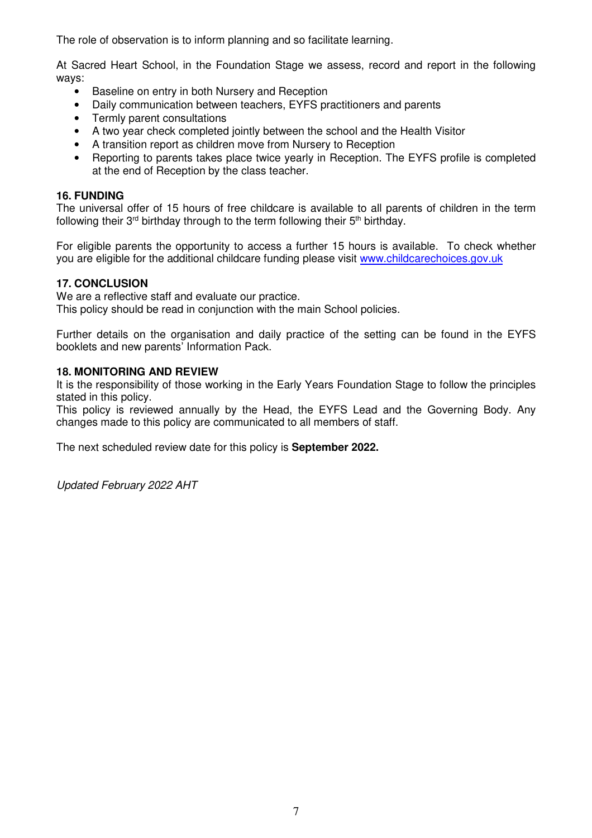The role of observation is to inform planning and so facilitate learning.

At Sacred Heart School, in the Foundation Stage we assess, record and report in the following ways:

- Baseline on entry in both Nursery and Reception
- Daily communication between teachers, EYFS practitioners and parents
- Termly parent consultations
- A two year check completed jointly between the school and the Health Visitor
- A transition report as children move from Nursery to Reception
- Reporting to parents takes place twice yearly in Reception. The EYFS profile is completed at the end of Reception by the class teacher.

## **16. FUNDING**

The universal offer of 15 hours of free childcare is available to all parents of children in the term following their  $3<sup>rd</sup>$  birthday through to the term following their  $5<sup>th</sup>$  birthday.

For eligible parents the opportunity to access a further 15 hours is available. To check whether you are eligible for the additional childcare funding please visit www.childcarechoices.gov.uk

## **17. CONCLUSION**

We are a reflective staff and evaluate our practice.

This policy should be read in conjunction with the main School policies.

Further details on the organisation and daily practice of the setting can be found in the EYFS booklets and new parents' Information Pack.

## **18. MONITORING AND REVIEW**

It is the responsibility of those working in the Early Years Foundation Stage to follow the principles stated in this policy.

This policy is reviewed annually by the Head, the EYFS Lead and the Governing Body. Any changes made to this policy are communicated to all members of staff.

The next scheduled review date for this policy is **September 2022.**

Updated February 2022 AHT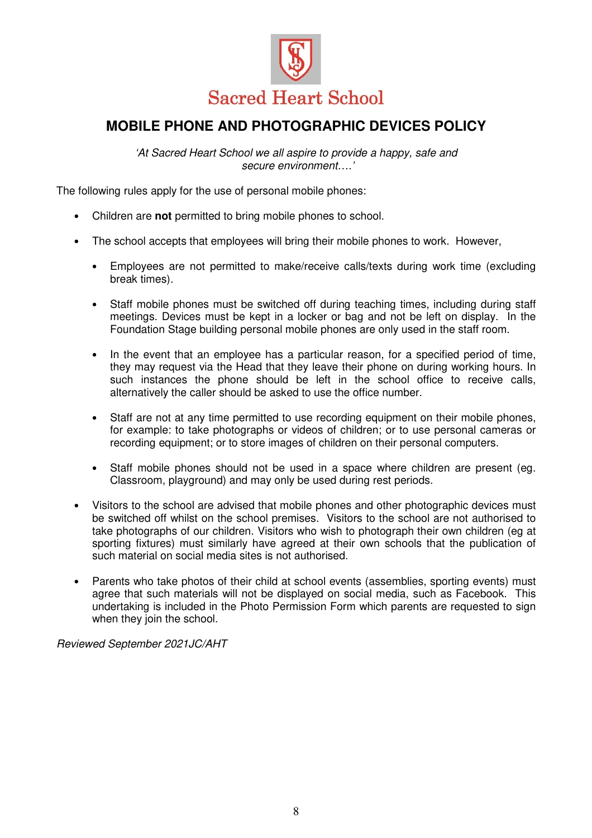

# **MOBILE PHONE AND PHOTOGRAPHIC DEVICES POLICY**

'At Sacred Heart School we all aspire to provide a happy, safe and secure environment….'

The following rules apply for the use of personal mobile phones:

- Children are **not** permitted to bring mobile phones to school.
- The school accepts that employees will bring their mobile phones to work. However,
	- Employees are not permitted to make/receive calls/texts during work time (excluding break times).
	- Staff mobile phones must be switched off during teaching times, including during staff meetings. Devices must be kept in a locker or bag and not be left on display. In the Foundation Stage building personal mobile phones are only used in the staff room.
	- In the event that an employee has a particular reason, for a specified period of time, they may request via the Head that they leave their phone on during working hours. In such instances the phone should be left in the school office to receive calls, alternatively the caller should be asked to use the office number.
	- Staff are not at any time permitted to use recording equipment on their mobile phones, for example: to take photographs or videos of children; or to use personal cameras or recording equipment; or to store images of children on their personal computers.
	- Staff mobile phones should not be used in a space where children are present (eg. Classroom, playground) and may only be used during rest periods.
- Visitors to the school are advised that mobile phones and other photographic devices must be switched off whilst on the school premises. Visitors to the school are not authorised to take photographs of our children. Visitors who wish to photograph their own children (eg at sporting fixtures) must similarly have agreed at their own schools that the publication of such material on social media sites is not authorised.
- Parents who take photos of their child at school events (assemblies, sporting events) must agree that such materials will not be displayed on social media, such as Facebook. This undertaking is included in the Photo Permission Form which parents are requested to sign when they join the school.

Reviewed September 2021JC/AHT